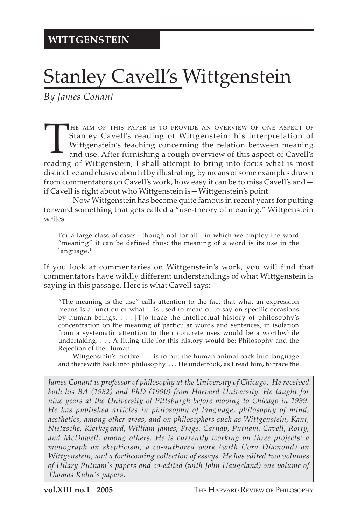## Stanley Cavell's Wittgenstein

*By James Conant*

THE AIM OF THIS PAPER IS TO PROVIDE AN OVERVIEW OF ONE ASPECT OF Stanley Cavell's reading of Wittgenstein: his interpretation of Wittgenstein's teaching concerning the relation between meaning and use. After furnishing a r Stanley Cavell's reading of Wittgenstein: his interpretation of Wittgenstein's teaching concerning the relation between meaning and use. After furnishing a rough overview of this aspect of Cavell's reading of Wittgenstein, I shall attempt to bring into focus what is most distinctive and elusive about it by illustrating, by means of some examples drawn from commentators on Cavell's work, how easy it can be to miss Cavell's and if Cavell is right about who Wittgenstein is—Wittgenstein's point.

Now Wittgenstein has become quite famous in recent years for putting forward something that gets called a "use-theory of meaning." Wittgenstein writes:

For a large class of cases—though not for all—in which we employ the word "meaning" it can be defined thus: the meaning of a word is its use in the language.<sup>1</sup>

If you look at commentaries on Wittgenstein's work, you will find that commentators have wildly different understandings of what Wittgenstein is saying in this passage. Here is what Cavell says:

"The meaning is the use" calls attention to the fact that what an expression means is a function of what it is used to mean or to say on specific occasions by human beings. . . . [T]o trace the intellectual history of philosophy's concentration on the meaning of particular words and sentences, in isolation from a systematic attention to their concrete uses would be a worthwhile undertaking. . . . A fitting title for this history would be: Philosophy and the Rejection of the Human.

Wittgenstein's motive . . . is to put the human animal back into language and therewith back into philosophy. . . . He undertook, as I read him, to trace the

*James Conant is professor of philosophy at the University of Chicago. He received both his BA (1982) and PhD (1990) from Harvard University. He taught for nine years at the University of Pittsburgh before moving to Chicago in 1999. He has published articles in philosophy of language, philosophy of mind, aesthetics, among other areas, and on philosophers such as Wittgenstein, Kant, Nietzsche, Kierkegaard, William James, Frege, Carnap, Putnam, Cavell, Rorty, and McDowell, among others. He is currently working on three projects: a monograph on skepticism, a co-authored work (with Cora Diamond) on Wittgenstein, and a forthcoming collection of essays. He has edited two volumes of Hilary Putnam's papers and co-edited (with John Haugeland) one volume of Thomas Kuhn's papers.*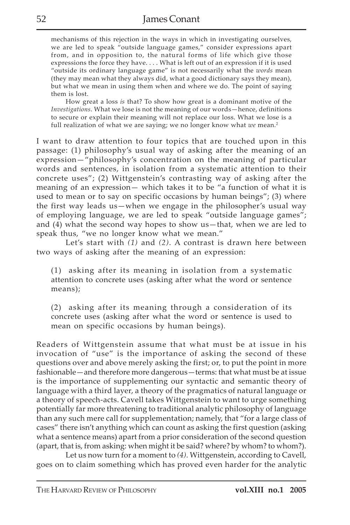mechanisms of this rejection in the ways in which in investigating ourselves, we are led to speak "outside language games," consider expressions apart from, and in opposition to, the natural forms of life which give those expressions the force they have. . . . What is left out of an expression if it is used "outside its ordinary language game" is not necessarily what the *words* mean (they may mean what they always did, what a good dictionary says they mean), but what we mean in using them when and where we do. The point of saying them is lost.

How great a loss *is* that? To show how great is a dominant motive of the *Investigations*. What we lose is not the meaning of our words—hence, definitions to secure or explain their meaning will not replace our loss. What we lose is a full realization of what we are saying; we no longer know what *we* mean.2

I want to draw attention to four topics that are touched upon in this passage: (1) philosophy's usual way of asking after the meaning of an expression—"philosophy's concentration on the meaning of particular words and sentences, in isolation from a systematic attention to their concrete uses"; (2) Wittgenstein's contrasting way of asking after the meaning of an expression— which takes it to be "a function of what it is used to mean or to say on specific occasions by human beings"; (3) where the first way leads us—when we engage in the philosopher's usual way of employing language, we are led to speak "outside language games"; and (4) what the second way hopes to show us—that, when we are led to speak thus, "we no longer know what we mean."

Let's start with *(1)* and *(2)*. A contrast is drawn here between two ways of asking after the meaning of an expression:

(1) asking after its meaning in isolation from a systematic attention to concrete uses (asking after what the word or sentence means);

(2) asking after its meaning through a consideration of its concrete uses (asking after what the word or sentence is used to mean on specific occasions by human beings).

Readers of Wittgenstein assume that what must be at issue in his invocation of "use" is the importance of asking the second of these questions over and above merely asking the first; or, to put the point in more fashionable—and therefore more dangerous—terms: that what must be at issue is the importance of supplementing our syntactic and semantic theory of language with a third layer, a theory of the pragmatics of natural language or a theory of speech-acts. Cavell takes Wittgenstein to want to urge something potentially far more threatening to traditional analytic philosophy of language than any such mere call for supplementation; namely, that "for a large class of cases" there isn't anything which can count as asking the first question (asking what a sentence means) apart from a prior consideration of the second question (apart, that is, from asking: when might it be said? where? by whom? to whom?).

Let us now turn for a moment to *(4)*. Wittgenstein, according to Cavell, goes on to claim something which has proved even harder for the analytic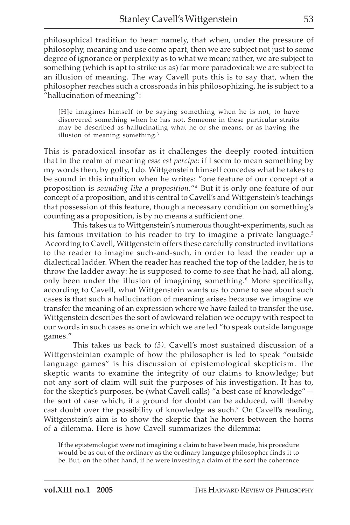philosophical tradition to hear: namely, that when, under the pressure of philosophy, meaning and use come apart, then we are subject not just to some degree of ignorance or perplexity as to what we mean; rather, we are subject to something (which is apt to strike us as) far more paradoxical: we are subject to an illusion of meaning. The way Cavell puts this is to say that, when the philosopher reaches such a crossroads in his philosophizing, he is subject to a "hallucination of meaning":

[H]e imagines himself to be saying something when he is not, to have discovered something when he has not. Someone in these particular straits may be described as hallucinating what he or she means, or as having the illusion of meaning something.<sup>3</sup>

This is paradoxical insofar as it challenges the deeply rooted intuition that in the realm of meaning *esse est percipe*: if I seem to mean something by my words then, by golly, I do. Wittgenstein himself concedes what he takes to be sound in this intuition when he writes: "one feature of our concept of a proposition is *sounding like a proposition*."4 But it is only one feature of our concept of a proposition, and it is central to Cavell's and Wittgenstein's teachings that possession of this feature, though a necessary condition on something's counting as a proposition, is by no means a sufficient one.

This takes us to Wittgenstein's numerous thought-experiments, such as his famous invitation to his reader to try to imagine a private language.<sup>5</sup> According to Cavell, Wittgenstein offers these carefully constructed invitations to the reader to imagine such-and-such, in order to lead the reader up a dialectical ladder. When the reader has reached the top of the ladder, he is to throw the ladder away: he is supposed to come to see that he had, all along, only been under the illusion of imagining something.6 More specifically, according to Cavell, what Wittgenstein wants us to come to see about such cases is that such a hallucination of meaning arises because we imagine we transfer the meaning of an expression where we have failed to transfer the use. Wittgenstein describes the sort of awkward relation we occupy with respect to our words in such cases as one in which we are led "to speak outside language games."

This takes us back to *(3)*. Cavell's most sustained discussion of a Wittgensteinian example of how the philosopher is led to speak "outside language games" is his discussion of epistemological skepticism. The skeptic wants to examine the integrity of our claims to knowledge; but not any sort of claim will suit the purposes of his investigation. It has to, for the skeptic's purposes, be (what Cavell calls) "a best case of knowledge" the sort of case which, if a ground for doubt can be adduced, will thereby cast doubt over the possibility of knowledge as such.<sup>7</sup> On Cavell's reading, Wittgenstein's aim is to show the skeptic that he hovers between the horns of a dilemma. Here is how Cavell summarizes the dilemma:

If the epistemologist were not imagining a claim to have been made, his procedure would be as out of the ordinary as the ordinary language philosopher finds it to be. But, on the other hand, if he were investing a claim of the sort the coherence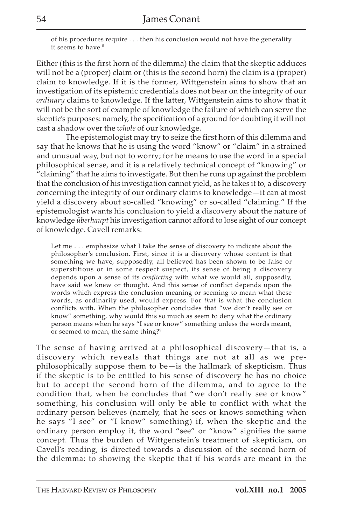of his procedures require . . . then his conclusion would not have the generality it seems to have.<sup>8</sup>

Either (this is the first horn of the dilemma) the claim that the skeptic adduces will not be a (proper) claim or (this is the second horn) the claim is a (proper) claim to knowledge. If it is the former, Wittgenstein aims to show that an investigation of its epistemic credentials does not bear on the integrity of our *ordinary* claims to knowledge. If the latter, Wittgenstein aims to show that it will not be the sort of example of knowledge the failure of which can serve the skeptic's purposes: namely, the specification of a ground for doubting it will not cast a shadow over the *whole* of our knowledge.

The epistemologist may try to seize the first horn of this dilemma and say that he knows that he is using the word "know" or "claim" in a strained and unusual way, but not to worry; for he means to use the word in a special philosophical sense, and it is a relatively technical concept of "knowing" or "claiming" that he aims to investigate. But then he runs up against the problem that the conclusion of his investigation cannot yield, as he takes it to, a discovery concerning the integrity of our ordinary claims to knowledge—it can at most yield a discovery about so-called "knowing" or so-called "claiming." If the epistemologist wants his conclusion to yield a discovery about the nature of knowledge *überhaupt* his investigation cannot afford to lose sight of our concept of knowledge. Cavell remarks:

Let me . . . emphasize what I take the sense of discovery to indicate about the philosopher's conclusion. First, since it is a discovery whose content is that something we have, supposedly, all believed has been shown to be false or superstitious or in some respect suspect, its sense of being a discovery depends upon a sense of its *conflicting* with what we would all, supposedly, have said we knew or thought. And this sense of conflict depends upon the words which express the conclusion meaning or seeming to mean what these words, as ordinarily used, would express. For *that* is what the conclusion conflicts with. When the philosopher concludes that "we don't really see or know" something, why would this so much as seem to deny what the ordinary person means when he says "I see or know" something unless the words meant, or seemed to mean, the same thing?<sup>9</sup>

The sense of having arrived at a philosophical discovery—that is, a discovery which reveals that things are not at all as we prephilosophically suppose them to be—is the hallmark of skepticism. Thus if the skeptic is to be entitled to his sense of discovery he has no choice but to accept the second horn of the dilemma, and to agree to the condition that, when he concludes that "we don't really see or know" something, his conclusion will only be able to conflict with what the ordinary person believes (namely, that he sees or knows something when he says "I see" or "I know" something) if, when the skeptic and the ordinary person employ it, the word "see" or "know" signifies the same concept. Thus the burden of Wittgenstein's treatment of skepticism, on Cavell's reading, is directed towards a discussion of the second horn of the dilemma: to showing the skeptic that if his words are meant in the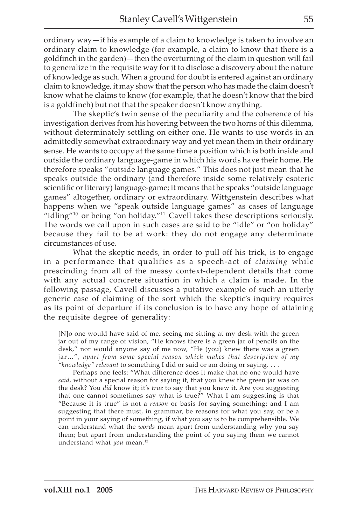ordinary way—if his example of a claim to knowledge is taken to involve an ordinary claim to knowledge (for example, a claim to know that there is a goldfinch in the garden)—then the overturning of the claim in question will fail to generalize in the requisite way for it to disclose a discovery about the nature of knowledge as such. When a ground for doubt is entered against an ordinary claim to knowledge, it may show that the person who has made the claim doesn't know what he claims to know (for example, that he doesn't know that the bird is a goldfinch) but not that the speaker doesn't know anything.

The skeptic's twin sense of the peculiarity and the coherence of his investigation derives from his hovering between the two horns of this dilemma, without determinately settling on either one. He wants to use words in an admittedly somewhat extraordinary way and yet mean them in their ordinary sense. He wants to occupy at the same time a position which is both inside and outside the ordinary language-game in which his words have their home. He therefore speaks "outside language games." This does not just mean that he speaks outside the ordinary (and therefore inside some relatively esoteric scientific or literary) language-game; it means that he speaks "outside language games" altogether, ordinary or extraordinary. Wittgenstein describes what happens when we "speak outside language games" as cases of language "idling"<sup>10</sup> or being "on holiday."<sup>11</sup> Cavell takes these descriptions seriously. The words we call upon in such cases are said to be "idle" or "on holiday" because they fail to be at work: they do not engage any determinate circumstances of use.

What the skeptic needs, in order to pull off his trick, is to engage in a performance that qualifies as a speech-act of *claiming* while prescinding from all of the messy context-dependent details that come with any actual concrete situation in which a claim is made. In the following passage, Cavell discusses a putative example of such an utterly generic case of claiming of the sort which the skeptic's inquiry requires as its point of departure if its conclusion is to have any hope of attaining the requisite degree of generality:

[N]o one would have said of me, seeing me sitting at my desk with the green jar out of my range of vision, "He knows there is a green jar of pencils on the desk," nor would anyone say of me now, "He (you) knew there was a green jar…", *apart from some special reason which makes that description of my "knowledge" relevant* to something I did or said or am doing or saying. . . .

Perhaps one feels: "What difference does it make that no one would have *said*, without a special reason for saying it, that you knew the green jar was on the desk? You *did* know it; it's *true* to say that you knew it. Are you suggesting that one cannot sometimes say what is true?" What I am suggesting is that "Because it is true" is not a *reason* or basis for saying something; and I am suggesting that there must, in grammar, be reasons for what you say, or be a point in your saying of something, if what you say is to be comprehensible. We can understand what the *words* mean apart from understanding why you say them; but apart from understanding the point of you saying them we cannot understand what *you* mean.<sup>12</sup>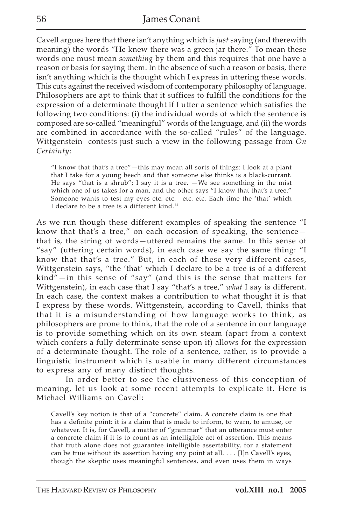Cavell argues here that there isn't anything which is *just* saying (and therewith meaning) the words "He knew there was a green jar there." To mean these words one must mean *something* by them and this requires that one have a reason or basis for saying them. In the absence of such a reason or basis, there isn't anything which is the thought which I express in uttering these words. This cuts against the received wisdom of contemporary philosophy of language. Philosophers are apt to think that it suffices to fulfill the conditions for the expression of a determinate thought if I utter a sentence which satisfies the following two conditions: (i) the individual words of which the sentence is composed are so-called "meaningful" words of the language, and (ii) the words are combined in accordance with the so-called "rules" of the language. Wittgenstein contests just such a view in the following passage from *On Certainty*:

"I know that that's a tree"—this may mean all sorts of things: I look at a plant that I take for a young beech and that someone else thinks is a black-currant. He says "that is a shrub"; I say it is a tree. —We see something in the mist which one of us takes for a man, and the other says "I know that that's a tree." Someone wants to test my eyes etc. etc.—etc. etc. Each time the 'that' which I declare to be a tree is a different kind.<sup>13</sup>

As we run though these different examples of speaking the sentence "I know that that's a tree," on each occasion of speaking, the sentence $$ that is, the string of words—uttered remains the same. In this sense of "say" (uttering certain words), in each case we say the same thing: "I know that that's a tree." But, in each of these very different cases, Wittgenstein says, "the 'that' which I declare to be a tree is of a different kind"—in this sense of "say" (and this is the sense that matters for Wittgenstein), in each case that I say "that's a tree," *what* I say is different. In each case, the context makes a contribution to what thought it is that I express by these words. Wittgenstein, according to Cavell, thinks that that it is a misunderstanding of how language works to think, as philosophers are prone to think, that the role of a sentence in our language is to provide something which on its own steam (apart from a context which confers a fully determinate sense upon it) allows for the expression of a determinate thought. The role of a sentence, rather, is to provide a linguistic instrument which is usable in many different circumstances to express any of many distinct thoughts.

In order better to see the elusiveness of this conception of meaning, let us look at some recent attempts to explicate it. Here is Michael Williams on Cavell:

Cavell's key notion is that of a "concrete" claim. A concrete claim is one that has a definite point: it is a claim that is made to inform, to warn, to amuse, or whatever. It is, for Cavell, a matter of "grammar" that an utterance must enter a concrete claim if it is to count as an intelligible act of assertion. This means that truth alone does not guarantee intelligible assertability, for a statement can be true without its assertion having any point at all. . . . [I]n Cavell's eyes, though the skeptic uses meaningful sentences, and even uses them in ways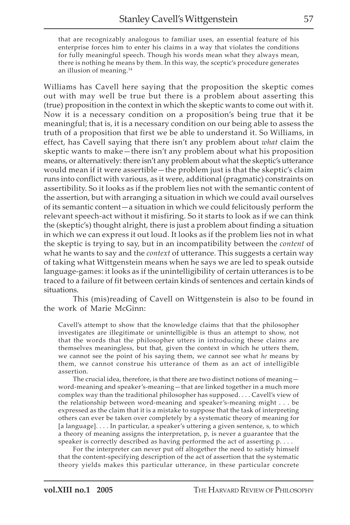that are recognizably analogous to familiar uses, an essential feature of his enterprise forces him to enter his claims in a way that violates the conditions for fully meaningful speech. Though his words mean what they always mean, there is nothing he means by them. In this way, the sceptic's procedure generates an illusion of meaning.14

Williams has Cavell here saying that the proposition the skeptic comes out with may well be true but there is a problem about asserting this (true) proposition in the context in which the skeptic wants to come out with it. Now it is a necessary condition on a proposition's being true that it be meaningful; that is, it is a necessary condition on our being able to assess the truth of a proposition that first we be able to understand it. So Williams, in effect, has Cavell saying that there isn't any problem about *what* claim the skeptic wants to make—there isn't any problem about what his proposition means, or alternatively: there isn't any problem about what the skeptic's utterance would mean if it were assertible—the problem just is that the skeptic's claim runs into conflict with various, as it were, additional (pragmatic) constraints on assertibility. So it looks as if the problem lies not with the semantic content of the assertion, but with arranging a situation in which we could avail ourselves of its semantic content—a situation in which we could felicitously perform the relevant speech-act without it misfiring. So it starts to look as if we can think the (skeptic's) thought alright, there is just a problem about finding a situation in which we can express it out loud. It looks as if the problem lies not in what the skeptic is trying to say, but in an incompatibility between the *content* of what he wants to say and the *context* of utterance. This suggests a certain way of taking what Wittgenstein means when he says we are led to speak outside language-games: it looks as if the unintelligibility of certain utterances is to be traced to a failure of fit between certain kinds of sentences and certain kinds of situations.

This (mis)reading of Cavell on Wittgenstein is also to be found in the work of Marie McGinn:

Cavell's attempt to show that the knowledge claims that that the philosopher investigates are illegitimate or unintelligible is thus an attempt to show, not that the words that the philosopher utters in introducing these claims are themselves meaningless, but that, given the context in which he utters them, we cannot see the point of his saying them, we cannot see what *he* means by them, we cannot construe his utterance of them as an act of intelligible assertion.

The crucial idea, therefore, is that there are two distinct notions of meaning word-meaning and speaker's-meaning—that are linked together in a much more complex way than the traditional philosopher has supposed. . . . Cavell's view of the relationship between word-meaning and speaker's-meaning might . . . be expressed as the claim that it is a mistake to suppose that the task of interpreting others can ever be taken over completely by a systematic theory of meaning for [a language]. . . . In particular, a speaker's uttering a given sentence, s, to which a theory of meaning assigns the interpretation, p, is never a guarantee that the speaker is correctly described as having performed the act of asserting p. . . .

For the interpreter can never put off altogether the need to satisfy himself that the content-specifying description of the act of assertion that the systematic theory yields makes this particular utterance, in these particular concrete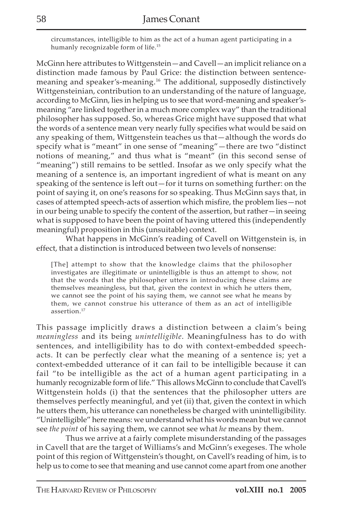circumstances, intelligible to him as the act of a human agent participating in a humanly recognizable form of life.15

McGinn here attributes to Wittgenstein—and Cavell—an implicit reliance on a distinction made famous by Paul Grice: the distinction between sentencemeaning and speaker's-meaning.16 The additional, supposedly distinctively Wittgensteinian, contribution to an understanding of the nature of language, according to McGinn, lies in helping us to see that word-meaning and speaker'smeaning "are linked together in a much more complex way" than the traditional philosopher has supposed. So, whereas Grice might have supposed that what the words of a sentence mean very nearly fully specifies what would be said on any speaking of them, Wittgenstein teaches us that—although the words do specify what is "meant" in one sense of "meaning"—there are two "distinct notions of meaning," and thus what is "meant" (in this second sense of "meaning") still remains to be settled. Insofar as we only specify what the meaning of a sentence is, an important ingredient of what is meant on any speaking of the sentence is left out—for it turns on something further: on the point of saying it, on one's reasons for so speaking. Thus McGinn says that, in cases of attempted speech-acts of assertion which misfire, the problem lies—not in our being unable to specify the content of the assertion, but rather—in seeing what is supposed to have been the point of having uttered this (independently meaningful) proposition in this (unsuitable) context.

What happens in McGinn's reading of Cavell on Wittgenstein is, in effect, that a distinction is introduced between two levels of nonsense:

[The] attempt to show that the knowledge claims that the philosopher investigates are illegitimate or unintelligible is thus an attempt to show, not that the words that the philosopher utters in introducing these claims are themselves meaningless, but that, given the context in which he utters them, we cannot see the point of his saying them, we cannot see what he means by them, we cannot construe his utterance of them as an act of intelligible assertion.17

This passage implicitly draws a distinction between a claim's being *meaningless* and its being *unintelligible*. Meaningfulness has to do with sentences, and intelligibility has to do with context-embedded speechacts. It can be perfectly clear what the meaning of a sentence is; yet a context-embedded utterance of it can fail to be intelligible because it can fail "to be intelligible as the act of a human agent participating in a humanly recognizable form of life." This allows McGinn to conclude that Cavell's Wittgenstein holds (i) that the sentences that the philosopher utters are themselves perfectly meaningful, and yet (ii) that, given the context in which he utters them, his utterance can nonetheless be charged with unintelligibility. "Unintelligible" here means: we understand what his words mean but we cannot see *the point* of his saying them, we cannot see what *he* means by them.

Thus we arrive at a fairly complete misunderstanding of the passages in Cavell that are the target of Williams's and McGinn's exegeses. The whole point of this region of Wittgenstein's thought, on Cavell's reading of him, is to help us to come to see that meaning and use cannot come apart from one another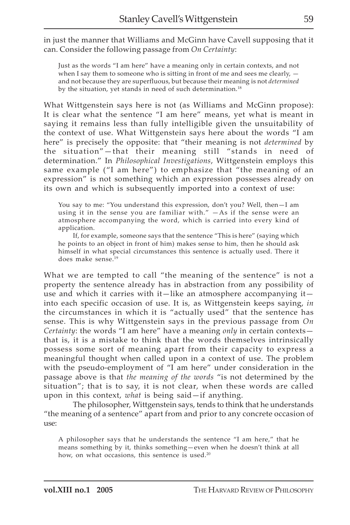in just the manner that Williams and McGinn have Cavell supposing that it can. Consider the following passage from *On Certainty*:

Just as the words "I am here" have a meaning only in certain contexts, and not when I say them to someone who is sitting in front of me and sees me clearly,  $$ and not because they are superfluous, but because their meaning is not *determined* by the situation, yet stands in need of such determination.<sup>18</sup>

What Wittgenstein says here is not (as Williams and McGinn propose): It is clear what the sentence "I am here" means, yet what is meant in saying it remains less than fully intelligible given the unsuitability of the context of use. What Wittgenstein says here about the words "I am here" is precisely the opposite: that "their meaning is not *determined* by the situation"—that their meaning still "stands in need of determination." In *Philosophical Investigations*, Wittgenstein employs this same example ("I am here") to emphasize that "the meaning of an expression" is not something which an expression possesses already on its own and which is subsequently imported into a context of use:

You say to me: "You understand this expression, don't you? Well, then—I am using it in the sense you are familiar with." —As if the sense were an atmosphere accompanying the word, which is carried into every kind of application.

If, for example, someone says that the sentence "This is here" (saying which he points to an object in front of him) makes sense to him, then he should ask himself in what special circumstances this sentence is actually used. There it does make sense.19

What we are tempted to call "the meaning of the sentence" is not a property the sentence already has in abstraction from any possibility of use and which it carries with it—like an atmosphere accompanying it into each specific occasion of use. It is, as Wittgenstein keeps saying, *in* the circumstances in which it is "actually used" that the sentence has sense. This is why Wittgenstein says in the previous passage from *On Certainty*: the words "I am here" have a meaning *only* in certain contexts that is, it is a mistake to think that the words themselves intrinsically possess some sort of meaning apart from their capacity to express a meaningful thought when called upon in a context of use. The problem with the pseudo-employment of "I am here" under consideration in the passage above is that *the meaning of the words* "is not determined by the situation"; that is to say, it is not clear, when these words are called upon in this context, *what* is being said—if anything.

The philosopher, Wittgenstein says, tends to think that he understands "the meaning of a sentence" apart from and prior to any concrete occasion of use:

A philosopher says that he understands the sentence "I am here," that he means something by it, thinks something—even when he doesn't think at all how, on what occasions, this sentence is used.<sup>20</sup>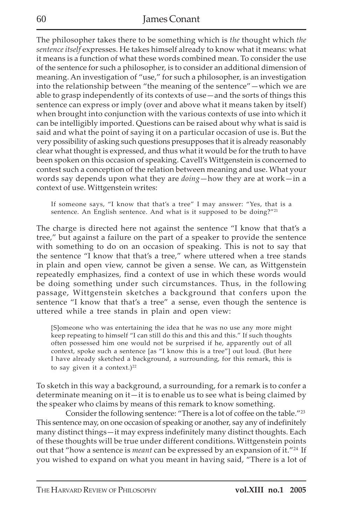The philosopher takes there to be something which is *the* thought which *the sentence itself* expresses. He takes himself already to know what it means: what it means is a function of what these words combined mean. To consider the use of the sentence for such a philosopher, is to consider an additional dimension of meaning. An investigation of "use," for such a philosopher, is an investigation into the relationship between "the meaning of the sentence"—which we are able to grasp independently of its contexts of use—and the sorts of things this sentence can express or imply (over and above what it means taken by itself) when brought into conjunction with the various contexts of use into which it can be intelligibly imported. Questions can be raised about why what is said is said and what the point of saying it on a particular occasion of use is. But the very possibility of asking such questions presupposes that it is already reasonably clear what thought is expressed, and thus what it would be for the truth to have been spoken on this occasion of speaking. Cavell's Wittgenstein is concerned to contest such a conception of the relation between meaning and use. What your words say depends upon what they are *doing*—how they are at work—in a context of use. Wittgenstein writes:

If someone says, "I know that that's a tree" I may answer: "Yes, that is a sentence. An English sentence. And what is it supposed to be doing?"<sup>21</sup>

The charge is directed here not against the sentence "I know that that's a tree," but against a failure on the part of a speaker to provide the sentence with something to do on an occasion of speaking. This is not to say that the sentence "I know that that's a tree," where uttered when a tree stands in plain and open view, cannot be given a sense. We can, as Wittgenstein repeatedly emphasizes, find a context of use in which these words would be doing something under such circumstances. Thus, in the following passage, Wittgenstein sketches a background that confers upon the sentence "I know that that's a tree" a sense, even though the sentence is uttered while a tree stands in plain and open view:

[S]omeone who was entertaining the idea that he was no use any more might keep repeating to himself "I can still do this and this and this." If such thoughts often possessed him one would not be surprised if he, apparently out of all context, spoke such a sentence [as "I know this is a tree"] out loud. (But here I have already sketched a background, a surrounding, for this remark, this is to say given it a context.) $22$ 

To sketch in this way a background, a surrounding, for a remark is to confer a determinate meaning on it—it is to enable us to see what is being claimed by the speaker who claims by means of this remark to know something.

Consider the following sentence: "There is a lot of coffee on the table."23 This sentence may, on one occasion of speaking or another, say any of indefinitely many distinct things—it may express indefinitely many distinct thoughts. Each of these thoughts will be true under different conditions. Wittgenstein points out that "how a sentence is *meant* can be expressed by an expansion of it."24 If you wished to expand on what you meant in having said, "There is a lot of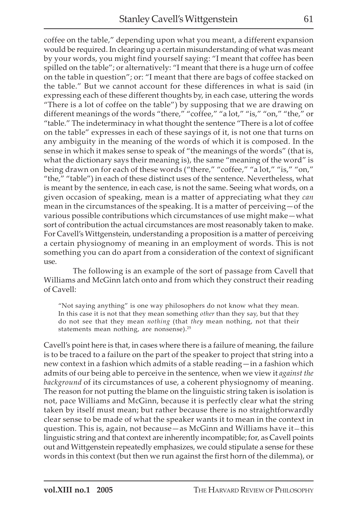coffee on the table," depending upon what you meant, a different expansion would be required. In clearing up a certain misunderstanding of what was meant by your words, you might find yourself saying: "I meant that coffee has been spilled on the table"; or alternatively: "I meant that there is a huge urn of coffee on the table in question"; or: "I meant that there are bags of coffee stacked on the table." But we cannot account for these differences in what is said (in expressing each of these different thoughts by, in each case, uttering the words "There is a lot of coffee on the table") by supposing that we are drawing on different meanings of the words "there," "coffee," "a lot," "is," "on," "the," or "table." The indeterminacy in what thought the sentence "There is a lot of coffee on the table" expresses in each of these sayings of it, is not one that turns on any ambiguity in the meaning of the words of which it is composed. In the sense in which it makes sense to speak of "the meanings of the words" (that is, what the dictionary says their meaning is), the same "meaning of the word" is being drawn on for each of these words ("there," "coffee," "a lot," "is," "on," "the," "table") in each of these distinct uses of the sentence. Nevertheless, what is meant by the sentence, in each case, is not the same. Seeing what words, on a given occasion of speaking, mean is a matter of appreciating what they *can* mean in the circumstances of the speaking. It is a matter of perceiving—of the various possible contributions which circumstances of use might make—what sort of contribution the actual circumstances are most reasonably taken to make. For Cavell's Wittgenstein, understanding a proposition is a matter of perceiving a certain physiognomy of meaning in an employment of words. This is not something you can do apart from a consideration of the context of significant use.

The following is an example of the sort of passage from Cavell that Williams and McGinn latch onto and from which they construct their reading of Cavell:

"Not saying anything" is one way philosophers do not know what they mean. In this case it is not that they mean something *other* than they say, but that they do not see that they mean *nothing* (that *they* mean nothing, not that their statements mean nothing, are nonsense).<sup>25</sup>

Cavell's point here is that, in cases where there is a failure of meaning, the failure is to be traced to a failure on the part of the speaker to project that string into a new context in a fashion which admits of a stable reading—in a fashion which admits of our being able to perceive in the sentence, when we view it *against the background* of its circumstances of use, a coherent physiognomy of meaning. The reason for not putting the blame on the linguistic string taken is isolation is not, pace Williams and McGinn, because it is perfectly clear what the string taken by itself must mean; but rather because there is no straightforwardly clear sense to be made of what the speaker wants it to mean in the context in question. This is, again, not because—as McGinn and Williams have it—this linguistic string and that context are inherently incompatible; for, as Cavell points out and Wittgenstein repeatedly emphasizes, we could stipulate a sense for these words in this context (but then we run against the first horn of the dilemma), or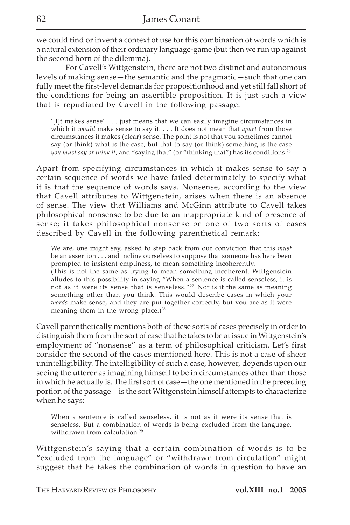we could find or invent a context of use for this combination of words which is a natural extension of their ordinary language-game (but then we run up against the second horn of the dilemma).

For Cavell's Wittgenstein, there are not two distinct and autonomous levels of making sense—the semantic and the pragmatic—such that one can fully meet the first-level demands for propositionhood and yet still fall short of the conditions for being an assertible proposition. It is just such a view that is repudiated by Cavell in the following passage:

'[I]t makes sense' . . . just means that we can easily imagine circumstances in which it *would* make sense to say it. . . . It does not mean that *apart* from those circumstances it makes (clear) sense. The point is not that you sometimes cannot say (or think) what is the case, but that to say (or think) something is the case *you must say or think it*, and "saying that" (or "thinking that") has its conditions.26

Apart from specifying circumstances in which it makes sense to say a certain sequence of words we have failed determinately to specify what it is that the sequence of words says. Nonsense, according to the view that Cavell attributes to Wittgenstein, arises when there is an absence of sense. The view that Williams and McGinn attribute to Cavell takes philosophical nonsense to be due to an inappropriate kind of presence of sense; it takes philosophical nonsense be one of two sorts of cases described by Cavell in the following parenthetical remark:

We are, one might say, asked to step back from our conviction that this *must* be an assertion . . . and incline ourselves to suppose that someone has here been prompted to insistent emptiness, to mean something incoherently. (This is not the same as trying to mean something incoherent. Wittgenstein alludes to this possibility in saying "When a sentence is called senseless, it is not as it were its sense that is senseless."27 Nor is it the same as meaning something other than you think. This would describe cases in which your *words* make sense, and they are put together correctly, but you are as it were meaning them in the wrong place.) $28$ 

Cavell parenthetically mentions both of these sorts of cases precisely in order to distinguish them from the sort of case that he takes to be at issue in Wittgenstein's employment of "nonsense" as a term of philosophical criticism. Let's first consider the second of the cases mentioned here. This is not a case of sheer unintelligibility. The intelligibility of such a case, however, depends upon our seeing the utterer as imagining himself to be in circumstances other than those in which he actually is. The first sort of case—the one mentioned in the preceding portion of the passage—is the sort Wittgenstein himself attempts to characterize when he says:

When a sentence is called senseless, it is not as it were its sense that is senseless. But a combination of words is being excluded from the language, withdrawn from calculation.<sup>29</sup>

Wittgenstein's saying that a certain combination of words is to be "excluded from the language" or "withdrawn from circulation" might suggest that he takes the combination of words in question to have an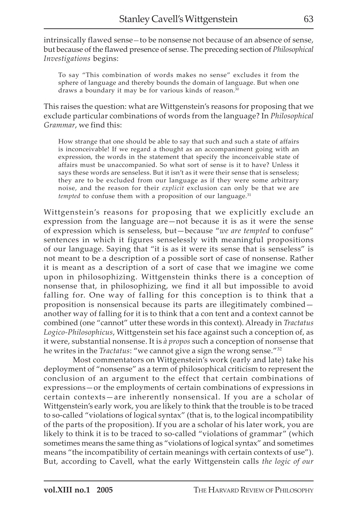intrinsically flawed sense—to be nonsense not because of an absence of sense, but because of the flawed presence of sense. The preceding section of *Philosophical Investigations* begins:

To say "This combination of words makes no sense" excludes it from the sphere of language and thereby bounds the domain of language. But when one draws a boundary it may be for various kinds of reason.<sup>30</sup>

This raises the question: what are Wittgenstein's reasons for proposing that we exclude particular combinations of words from the language? In *Philosophical Grammar*, we find this:

How strange that one should be able to say that such and such a state of affairs is inconceivable! If we regard a thought as an accompaniment going with an expression, the words in the statement that specify the inconceivable state of affairs must be unaccompanied. So what sort of sense is it to have? Unless it says these words are senseless. But it isn't as it were their sense that is senseless; they are to be excluded from our language as if they were some arbitrary noise, and the reason for their *explicit* exclusion can only be that we are *tempted* to confuse them with a proposition of our language.<sup>31</sup>

Wittgenstein's reasons for proposing that we explicitly exclude an expression from the language are—not because it is as it were the sense of expression which is senseless, but—because "*we are tempted* to confuse" sentences in which it figures senselessly with meaningful propositions of our language. Saying that "it is as it were its sense that is senseless" is not meant to be a description of a possible sort of case of nonsense. Rather it is meant as a description of a sort of case that we imagine we come upon in philosophizing. Wittgenstein thinks there is a conception of nonsense that, in philosophizing, we find it all but impossible to avoid falling for. One way of falling for this conception is to think that a proposition is nonsensical because its parts are illegitimately combined another way of falling for it is to think that a con tent and a context cannot be combined (one "cannot" utter these words in this context). Already in *Tractatus Logico-Philosophicus*, Wittgenstein set his face against such a conception of, as it were, substantial nonsense. It is *à propos* such a conception of nonsense that he writes in the *Tractatus*: "we cannot give a sign the wrong sense."32

Most commentators on Wittgenstein's work (early and late) take his deployment of "nonsense" as a term of philosophical criticism to represent the conclusion of an argument to the effect that certain combinations of expressions—or the employments of certain combinations of expressions in certain contexts—are inherently nonsensical. If you are a scholar of Wittgenstein's early work, you are likely to think that the trouble is to be traced to so-called "violations of logical syntax" (that is, to the logical incompatibility of the parts of the proposition). If you are a scholar of his later work, you are likely to think it is to be traced to so-called "violations of grammar" (which sometimes means the same thing as "violations of logical syntax" and sometimes means "the incompatibility of certain meanings with certain contexts of use"). But, according to Cavell, what the early Wittgenstein calls *the logic of our*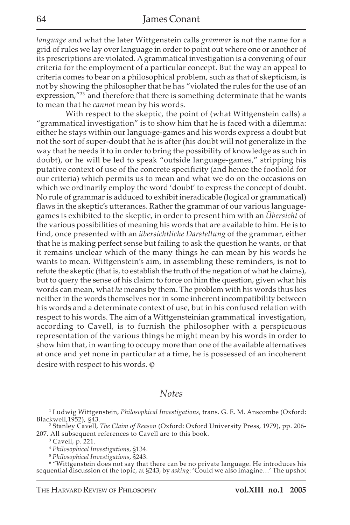*language* and what the later Wittgenstein calls *grammar* is not the name for a grid of rules we lay over language in order to point out where one or another of its prescriptions are violated. A grammatical investigation is a convening of our criteria for the employment of a particular concept. But the way an appeal to criteria comes to bear on a philosophical problem, such as that of skepticism, is not by showing the philosopher that he has "violated the rules for the use of an expression,"<sup>33</sup> and therefore that there is something determinate that he wants to mean that he *cannot* mean by his words.

With respect to the skeptic, the point of (what Wittgenstein calls) a "grammatical investigation" is to show him that he is faced with a dilemma: either he stays within our language-games and his words express a doubt but not the sort of super-doubt that he is after (his doubt will not generalize in the way that he needs it to in order to bring the possibility of knowledge as such in doubt), or he will be led to speak "outside language-games," stripping his putative context of use of the concrete specificity (and hence the foothold for our criteria) which permits us to mean and what we do on the occasions on which we ordinarily employ the word 'doubt' to express the concept of doubt. No rule of grammar is adduced to exhibit ineradicable (logical or grammatical) flaws in the skeptic's utterances. Rather the grammar of our various languagegames is exhibited to the skeptic, in order to present him with an *Übersicht* of the various possibilities of meaning his words that are available to him. He is to find, once presented with an *übersichtliche Darstellung* of the grammar, either that he is making perfect sense but failing to ask the question he wants, or that it remains unclear which of the many things he can mean by his words he wants to mean. Wittgenstein's aim, in assembling these reminders, is not to refute the skeptic (that is, to establish the truth of the negation of what he claims), but to query the sense of his claim: to force on him the question, given what his words can mean, what *he* means by them. The problem with his words thus lies neither in the words themselves nor in some inherent incompatibility between his words and a determinate context of use, but in his confused relation with respect to his words. The aim of a Wittgensteinian grammatical investigation, according to Cavell, is to furnish the philosopher with a perspicuous representation of the various things he might mean by his words in order to show him that, in wanting to occupy more than one of the available alternatives at once and yet none in particular at a time, he is possessed of an incoherent desire with respect to his words.  $\varphi$ 

## *Notes*

1 Ludwig Wittgenstein, *Philosophical Investigations*, trans. G. E. M. Anscombe (Oxford: Blackwell,1952), §43.

2 Stanley Cavell, *The Claim of Reason* (Oxford: Oxford University Press, 1979), pp. 206- 207. All subsequent references to Cavell are to this book.

3 Cavell, p. 221.

<sup>5</sup> Philosophical Investigations, §243.<br><sup>6</sup> "Wittgenstein does not say that there can be no private language. He introduces his sequential discussion of the topic, at §243, by *asking*: 'Could we also imagine…' The upshot

<sup>4</sup> *Philosophical Investigations*, §134.